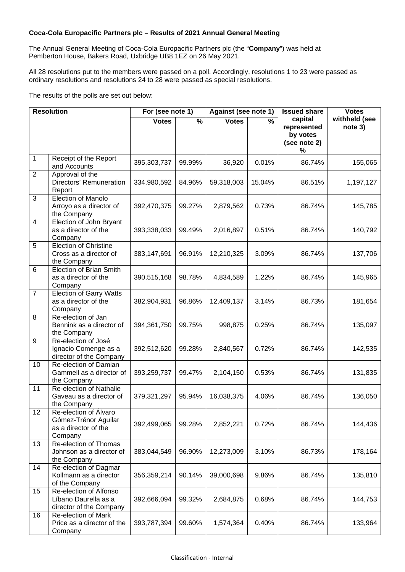## **Coca-Cola Europacific Partners plc – Results of 2021 Annual General Meeting**

The Annual General Meeting of Coca-Cola Europacific Partners plc (the "**Company**") was held at Pemberton House, Bakers Road, Uxbridge UB8 1EZ on 26 May 2021.

All 28 resolutions put to the members were passed on a poll. Accordingly, resolutions 1 to 23 were passed as ordinary resolutions and resolutions 24 to 28 were passed as special resolutions.

The results of the polls are set out below:

| <b>Resolution</b> |                                                                                  | For (see note 1) |                          | Against (see note 1) |                          | <b>Issued share</b>                                     | <b>Votes</b>             |
|-------------------|----------------------------------------------------------------------------------|------------------|--------------------------|----------------------|--------------------------|---------------------------------------------------------|--------------------------|
|                   |                                                                                  | <b>Votes</b>     | $\overline{\frac{9}{6}}$ | <b>Votes</b>         | $\overline{\frac{9}{6}}$ | capital<br>represented<br>by votes<br>(see note 2)<br>% | withheld (see<br>note 3) |
| 1                 | Receipt of the Report<br>and Accounts                                            | 395,303,737      | 99.99%                   | 36,920               | 0.01%                    | 86.74%                                                  | 155,065                  |
| $\overline{2}$    | Approval of the<br>Directors' Remuneration<br>Report                             | 334,980,592      | 84.96%                   | 59,318,003           | 15.04%                   | 86.51%                                                  | 1,197,127                |
| 3                 | Election of Manolo<br>Arroyo as a director of<br>the Company                     | 392,470,375      | 99.27%                   | 2,879,562            | 0.73%                    | 86.74%                                                  | 145,785                  |
| 4                 | Election of John Bryant<br>as a director of the<br>Company                       | 393,338,033      | 99.49%                   | 2,016,897            | 0.51%                    | 86.74%                                                  | 140,792                  |
| 5                 | <b>Election of Christine</b><br>Cross as a director of<br>the Company            | 383,147,691      | 96.91%                   | 12,210,325           | 3.09%                    | 86.74%                                                  | 137,706                  |
| 6                 | <b>Election of Brian Smith</b><br>as a director of the<br>Company                | 390,515,168      | 98.78%                   | 4,834,589            | 1.22%                    | 86.74%                                                  | 145,965                  |
| $\overline{7}$    | <b>Election of Garry Watts</b><br>as a director of the<br>Company                | 382,904,931      | 96.86%                   | 12,409,137           | 3.14%                    | 86.73%                                                  | 181,654                  |
| 8                 | Re-election of Jan<br>Bennink as a director of<br>the Company                    | 394,361,750      | 99.75%                   | 998,875              | 0.25%                    | 86.74%                                                  | 135,097                  |
| 9                 | Re-election of José<br>Ignacio Comenge as a<br>director of the Company           | 392,512,620      | 99.28%                   | 2,840,567            | 0.72%                    | 86.74%                                                  | 142,535                  |
| 10                | Re-election of Damian<br>Gammell as a director of<br>the Company                 | 393,259,737      | 99.47%                   | 2,104,150            | 0.53%                    | 86.74%                                                  | 131,835                  |
| 11                | Re-election of Nathalie<br>Gaveau as a director of<br>the Company                | 379,321,297      | 95.94%                   | 16,038,375           | 4.06%                    | 86.74%                                                  | 136,050                  |
| 12                | Re-election of Álvaro<br>Gómez-Trénor Aguilar<br>as a director of the<br>Company | 392,499,065      | 99.28%                   | 2,852,221            | 0.72%                    | 86.74%                                                  | 144,436                  |
| 13                | Re-election of Thomas<br>Johnson as a director of<br>the Company                 | 383,044,549      | 96.90%                   | 12,273,009           | 3.10%                    | 86.73%                                                  | 178,164                  |
| 14                | Re-election of Dagmar<br>Kollmann as a director<br>of the Company                | 356,359,214      | 90.14%                   | 39,000,698           | 9.86%                    | 86.74%                                                  | 135,810                  |
| 15                | Re-election of Alfonso<br>Líbano Daurella as a<br>director of the Company        | 392,666,094      | 99.32%                   | 2,684,875            | 0.68%                    | 86.74%                                                  | 144,753                  |
| 16                | Re-election of Mark<br>Price as a director of the<br>Company                     | 393,787,394      | 99.60%                   | 1,574,364            | 0.40%                    | 86.74%                                                  | 133,964                  |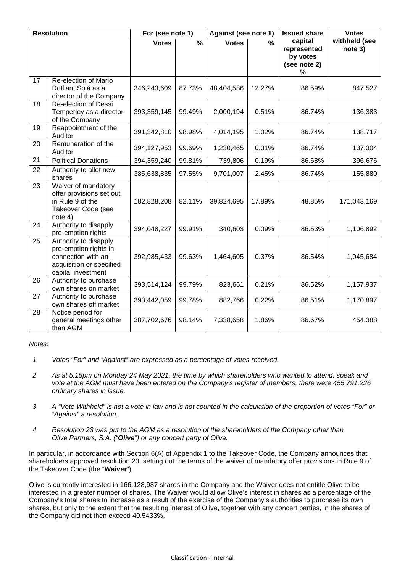| <b>Resolution</b> |                                                                                                                        | For (see note 1) |                          | Against (see note 1) |               | <b>Issued share</b>                                     | <b>Votes</b>             |
|-------------------|------------------------------------------------------------------------------------------------------------------------|------------------|--------------------------|----------------------|---------------|---------------------------------------------------------|--------------------------|
|                   |                                                                                                                        | <b>Votes</b>     | $\overline{\frac{9}{6}}$ | <b>Votes</b>         | $\frac{0}{0}$ | capital<br>represented<br>by votes<br>(see note 2)<br>% | withheld (see<br>note 3) |
| 17                | Re-election of Mario<br>Rotllant Solá as a<br>director of the Company                                                  | 346,243,609      | 87.73%                   | 48,404,586           | 12.27%        | 86.59%                                                  | 847,527                  |
| 18                | Re-election of Dessi<br>Temperley as a director<br>of the Company                                                      | 393,359,145      | 99.49%                   | 2,000,194            | 0.51%         | 86.74%                                                  | 136,383                  |
| 19                | Reappointment of the<br>Auditor                                                                                        | 391,342,810      | 98.98%                   | 4,014,195            | 1.02%         | 86.74%                                                  | 138,717                  |
| 20                | Remuneration of the<br>Auditor                                                                                         | 394, 127, 953    | 99.69%                   | 1,230,465            | 0.31%         | 86.74%                                                  | 137,304                  |
| 21                | <b>Political Donations</b>                                                                                             | 394,359,240      | 99.81%                   | 739,806              | 0.19%         | 86.68%                                                  | 396,676                  |
| 22                | Authority to allot new<br>shares                                                                                       | 385,638,835      | 97.55%                   | 9,701,007            | 2.45%         | 86.74%                                                  | 155,880                  |
| 23                | Waiver of mandatory<br>offer provisions set out<br>in Rule 9 of the<br>Takeover Code (see<br>note 4)                   | 182,828,208      | 82.11%                   | 39,824,695           | 17.89%        | 48.85%                                                  | 171,043,169              |
| $\overline{24}$   | Authority to disapply<br>pre-emption rights                                                                            | 394,048,227      | 99.91%                   | 340,603              | 0.09%         | 86.53%                                                  | 1,106,892                |
| 25                | Authority to disapply<br>pre-emption rights in<br>connection with an<br>acquisition or specified<br>capital investment | 392,985,433      | 99.63%                   | 1,464,605            | 0.37%         | 86.54%                                                  | 1,045,684                |
| 26                | Authority to purchase<br>own shares on market                                                                          | 393,514,124      | 99.79%                   | 823,661              | 0.21%         | 86.52%                                                  | 1,157,937                |
| $\overline{27}$   | Authority to purchase<br>own shares off market                                                                         | 393,442,059      | 99.78%                   | 882,766              | 0.22%         | 86.51%                                                  | 1,170,897                |
| 28                | Notice period for<br>general meetings other<br>than AGM                                                                | 387,702,676      | 98.14%                   | 7,338,658            | 1.86%         | 86.67%                                                  | 454,388                  |

*Notes:* 

- *1 Votes "For" and "Against" are expressed as a percentage of votes received.*
- *2 As at 5.15pm on Monday 24 May 2021, the time by which shareholders who wanted to attend, speak and vote at the AGM must have been entered on the Company's register of members, there were 455,791,226 ordinary shares in issue.*
- *3 A "Vote Withheld" is not a vote in law and is not counted in the calculation of the proportion of votes "For" or "Against" a resolution.*
- *4 Resolution 23 was put to the AGM as a resolution of the shareholders of the Company other than Olive Partners, S.A. ("Olive") or any concert party of Olive.*

In particular, in accordance with Section 6(A) of Appendix 1 to the Takeover Code, the Company announces that shareholders approved resolution 23, setting out the terms of the waiver of mandatory offer provisions in Rule 9 of the Takeover Code (the "**Waiver**").

Olive is currently interested in 166,128,987 shares in the Company and the Waiver does not entitle Olive to be interested in a greater number of shares. The Waiver would allow Olive's interest in shares as a percentage of the Company's total shares to increase as a result of the exercise of the Company's authorities to purchase its own shares, but only to the extent that the resulting interest of Olive, together with any concert parties, in the shares of the Company did not then exceed 40.5433%.